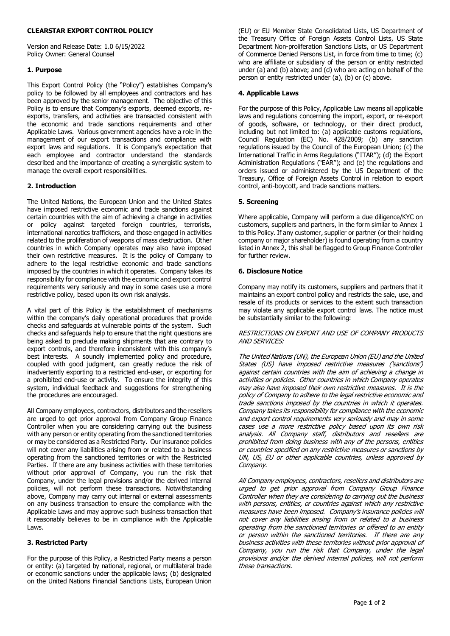#### **CLEARSTAR EXPORT CONTROL POLICY**

Version and Release Date: 1.0 6/15/2022 Policy Owner: General Counsel

#### **1. Purpose**

This Export Control Policy (the "Policy") establishes Company's policy to be followed by all employees and contractors and has been approved by the senior management. The objective of this Policy is to ensure that Company's exports, deemed exports, reexports, transfers, and activities are transacted consistent with the economic and trade sanctions requirements and other Applicable Laws. Various government agencies have a role in the management of our export transactions and compliance with export laws and regulations. It is Company's expectation that each employee and contractor understand the standards described and the importance of creating a synergistic system to manage the overall export responsibilities.

# **2. Introduction**

The United Nations, the European Union and the United States have imposed restrictive economic and trade sanctions against certain countries with the aim of achieving a change in activities or policy against targeted foreign countries, terrorists, international narcotics traffickers, and those engaged in activities related to the proliferation of weapons of mass destruction. Other countries in which Company operates may also have imposed their own restrictive measures. It is the policy of Company to adhere to the legal restrictive economic and trade sanctions imposed by the countries in which it operates. Company takes its responsibility for compliance with the economic and export control requirements very seriously and may in some cases use a more restrictive policy, based upon its own risk analysis.

A vital part of this Policy is the establishment of mechanisms within the company's daily operational procedures that provide checks and safeguards at vulnerable points of the system. Such checks and safeguards help to ensure that the right questions are being asked to preclude making shipments that are contrary to export controls, and therefore inconsistent with this company's best interests. A soundly implemented policy and procedure, coupled with good judgment, can greatly reduce the risk of inadvertently exporting to a restricted end-user, or exporting for a prohibited end-use or activity. To ensure the integrity of this system, individual feedback and suggestions for strengthening the procedures are encouraged.

All Company employees, contractors, distributors and the resellers are urged to get prior approval from Company Group Finance Controller when you are considering carrying out the business with any person or entity operating from the sanctioned territories or may be considered as a Restricted Party. Our insurance policies will not cover any liabilities arising from or related to a business operating from the sanctioned territories or with the Restricted Parties. If there are any business activities with these territories without prior approval of Company, you run the risk that Company, under the legal provisions and/or the derived internal policies, will not perform these transactions. Notwithstanding above, Company may carry out internal or external assessments on any business transaction to ensure the compliance with the Applicable Laws and may approve such business transaction that it reasonably believes to be in compliance with the Applicable Laws.

# **3. Restricted Party**

For the purpose of this Policy, a Restricted Party means a person or entity: (a) targeted by national, regional, or multilateral trade or economic sanctions under the applicable laws; (b) designated on the United Nations Financial Sanctions Lists, European Union

(EU) or EU Member State Consolidated Lists, US Department of the Treasury Office of Foreign Assets Control Lists, US State Department Non-proliferation Sanctions Lists, or US Department of Commerce Denied Persons List, in force from time to time; (c) who are affiliate or subsidiary of the person or entity restricted under (a) and (b) above; and (d) who are acting on behalf of the person or entity restricted under (a), (b) or (c) above.

#### **4. Applicable Laws**

For the purpose of this Policy, Applicable Law means all applicable laws and regulations concerning the import, export, or re-export of goods, software, or technology, or their direct product, including but not limited to: (a) applicable customs regulations, Council Regulation (EC) No. 428/2009; (b) any sanction regulations issued by the Council of the European Union; (c) the International Traffic in Arms Regulations ("ITAR"); (d) the Export Administration Regulations ("EAR"); and (e) the regulations and orders issued or administered by the US Department of the Treasury, Office of Foreign Assets Control in relation to export control, anti-boycott, and trade sanctions matters.

#### **5. Screening**

Where applicable, Company will perform a due diligence/KYC on customers, suppliers and partners, in the form similar to Annex 1 to this Policy. If any customer, supplier or partner (or their holding company or major shareholder) is found operating from a country listed in Annex 2, this shall be flagged to Group Finance Controller for further review.

#### **6. Disclosure Notice**

Company may notify its customers, suppliers and partners that it maintains an export control policy and restricts the sale, use, and resale of its products or services to the extent such transaction may violate any applicable export control laws. The notice must be substantially similar to the following:

#### RESTRICTIONS ON EXPORT AND USE OF COMPANY PRODUCTS AND SERVICES:

The United Nations (UN), the European Union (EU) and the United States (US) have imposed restrictive measures ('sanctions') against certain countries with the aim of achieving a change in activities or policies. Other countries in which Company operates may also have imposed their own restrictive measures. It is the policy of Company to adhere to the legal restrictive economic and trade sanctions imposed by the countries in which it operates. Company takes its responsibility for compliance with the economic and export control requirements very seriously and may in some cases use a more restrictive policy based upon its own risk analysis. All Company staff, distributors and resellers are prohibited from doing business with any of the persons, entities or countries specified on any restrictive measures or sanctions by UN, US, EU or other applicable countries, unless approved by Company.

All Company employees, contractors, resellers and distributors are urged to get prior approval from Company Group Finance Controller when they are considering to carrying out the business with persons, entities, or countries against which any restrictive measures have been imposed. Company's insurance policies will not cover any liabilities arising from or related to a business operating from the sanctioned territories or offered to an entity or person within the sanctioned territories. If there are any business activities with these territories without prior approval of Company, you run the risk that Company, under the legal provisions and/or the derived internal policies, will not perform these transactions.